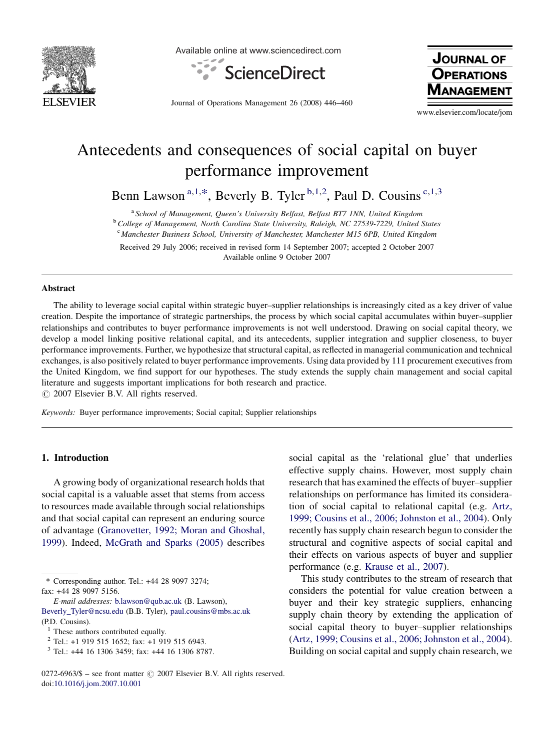

Available online at www.sciencedirect.com



Journal of Operations Management 26 (2008) 446–460

**JOURNAL OF OPERATIONS** 

www.elsevier.com/locate/jom

## Antecedents and consequences of social capital on buyer performance improvement

Benn Lawson<sup>a,1,\*</sup>, Beverly B. Tyler<sup>b,1,2</sup>, Paul D. Cousins<sup>c,1,3</sup>

<sup>a</sup> School of Management, Queen's University Belfast, Belfast BT7 1NN, United Kingdom

<sup>b</sup> College of Management, North Carolina State University, Raleigh, NC 27539-7229, United States

<sup>c</sup> Manchester Business School, University of Manchester, Manchester M15 6PB, United Kingdom

Received 29 July 2006; received in revised form 14 September 2007; accepted 2 October 2007 Available online 9 October 2007

#### Abstract

The ability to leverage social capital within strategic buyer–supplier relationships is increasingly cited as a key driver of value creation. Despite the importance of strategic partnerships, the process by which social capital accumulates within buyer–supplier relationships and contributes to buyer performance improvements is not well understood. Drawing on social capital theory, we develop a model linking positive relational capital, and its antecedents, supplier integration and supplier closeness, to buyer performance improvements. Further, we hypothesize that structural capital, as reflected in managerial communication and technical exchanges, is also positively related to buyer performance improvements. Using data provided by 111 procurement executives from the United Kingdom, we find support for our hypotheses. The study extends the supply chain management and social capital literature and suggests important implications for both research and practice.

 $\odot$  2007 Elsevier B.V. All rights reserved.

Keywords: Buyer performance improvements; Social capital; Supplier relationships

#### 1. Introduction

A growing body of organizational research holds that social capital is a valuable asset that stems from access to resources made available through social relationships and that social capital can represent an enduring source of advantage ([Granovetter, 1992; Moran and Ghoshal,](#page--1-0) [1999](#page--1-0)). Indeed, [McGrath and Sparks \(2005\)](#page--1-0) describes

\* Corresponding author. Tel.: +44 28 9097 3274; fax: +44 28 9097 5156.

E-mail addresses: [b.lawson@qub.ac.uk](mailto:b.lawson@qub.ac.uk) (B. Lawson), [Beverly\\_Tyler@ncsu.edu](mailto:Beverly_Tyler@ncsu.edu) (B.B. Tyler), [paul.cousins@mbs.ac.uk](mailto:paul.cousins@mbs.ac.uk) (P.D. Cousins).

social capital as the 'relational glue' that underlies effective supply chains. However, most supply chain research that has examined the effects of buyer–supplier relationships on performance has limited its consideration of social capital to relational capital (e.g. [Artz,](#page--1-0) [1999; Cousins et al., 2006; Johnston et al., 2004\)](#page--1-0). Only recently has supply chain research begun to consider the structural and cognitive aspects of social capital and their effects on various aspects of buyer and supplier performance (e.g. [Krause et al., 2007](#page--1-0)).

This study contributes to the stream of research that considers the potential for value creation between a buyer and their key strategic suppliers, enhancing supply chain theory by extending the application of social capital theory to buyer–supplier relationships ([Artz, 1999; Cousins et al., 2006; Johnston et al., 2004\)](#page--1-0). Building on social capital and supply chain research, we

 $<sup>1</sup>$  These authors contributed equally.</sup>

<sup>2</sup> Tel.: +1 919 515 1652; fax: +1 919 515 6943.

 $3$  Tel.: +44 16 1306 3459; fax: +44 16 1306 8787.

 $0272-6963/\$$  – see front matter  $\odot$  2007 Elsevier B.V. All rights reserved. doi:[10.1016/j.jom.2007.10.001](http://dx.doi.org/10.1016/j.jom.2007.10.001)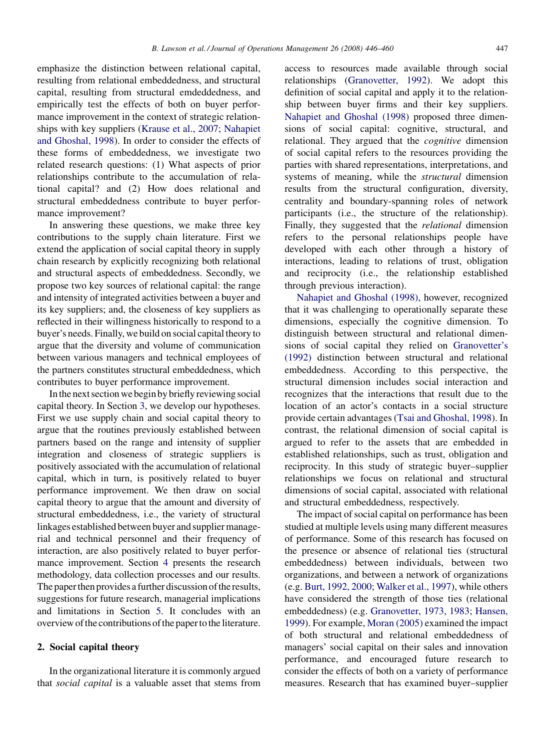emphasize the distinction between relational capital, resulting from relational embeddedness, and structural capital, resulting from structural emdeddedness, and empirically test the effects of both on buyer performance improvement in the context of strategic relationships with key suppliers [\(Krause et al., 2007; Nahapiet](#page--1-0) [and Ghoshal, 1998](#page--1-0)). In order to consider the effects of these forms of embeddedness, we investigate two related research questions: (1) What aspects of prior relationships contribute to the accumulation of relational capital? and (2) How does relational and structural embeddedness contribute to buyer performance improvement?

In answering these questions, we make three key contributions to the supply chain literature. First we extend the application of social capital theory in supply chain research by explicitly recognizing both relational and structural aspects of embeddedness. Secondly, we propose two key sources of relational capital: the range and intensity of integrated activities between a buyer and its key suppliers; and, the closeness of key suppliers as reflected in their willingness historically to respond to a buyer's needs. Finally, we build on social capital theory to argue that the diversity and volume of communication between various managers and technical employees of the partners constitutes structural embeddedness, which contributes to buyer performance improvement.

In the next section we begin by briefly reviewing social capital theory. In Section [3](#page--1-0), we develop our hypotheses. First we use supply chain and social capital theory to argue that the routines previously established between partners based on the range and intensity of supplier integration and closeness of strategic suppliers is positively associated with the accumulation of relational capital, which in turn, is positively related to buyer performance improvement. We then draw on social capital theory to argue that the amount and diversity of structural embeddedness, i.e., the variety of structural linkages established between buyer and supplier managerial and technical personnel and their frequency of interaction, are also positively related to buyer performance improvement. Section [4](#page--1-0) presents the research methodology, data collection processes and our results. The paper then provides a further discussion of the results, suggestions for future research, managerial implications and limitations in Section [5](#page--1-0). It concludes with an overview of the contributionsof the paper to the literature.

### 2. Social capital theory

In the organizational literature it is commonly argued that social capital is a valuable asset that stems from

access to resources made available through social relationships ([Granovetter, 1992\)](#page--1-0). We adopt this definition of social capital and apply it to the relationship between buyer firms and their key suppliers. [Nahapiet and Ghoshal \(1998\)](#page--1-0) proposed three dimensions of social capital: cognitive, structural, and relational. They argued that the *cognitive* dimension of social capital refers to the resources providing the parties with shared representations, interpretations, and systems of meaning, while the structural dimension results from the structural configuration, diversity, centrality and boundary-spanning roles of network participants (i.e., the structure of the relationship). Finally, they suggested that the relational dimension refers to the personal relationships people have developed with each other through a history of interactions, leading to relations of trust, obligation and reciprocity (i.e., the relationship established through previous interaction).

[Nahapiet and Ghoshal \(1998\)](#page--1-0), however, recognized that it was challenging to operationally separate these dimensions, especially the cognitive dimension. To distinguish between structural and relational dimensions of social capital they relied on [Granovetter's](#page--1-0) [\(1992\)](#page--1-0) distinction between structural and relational embeddedness. According to this perspective, the structural dimension includes social interaction and recognizes that the interactions that result due to the location of an actor's contacts in a social structure provide certain advantages [\(Tsai and Ghoshal, 1998\)](#page--1-0). In contrast, the relational dimension of social capital is argued to refer to the assets that are embedded in established relationships, such as trust, obligation and reciprocity. In this study of strategic buyer–supplier relationships we focus on relational and structural dimensions of social capital, associated with relational and structural embeddedness, respectively.

The impact of social capital on performance has been studied at multiple levels using many different measures of performance. Some of this research has focused on the presence or absence of relational ties (structural embeddedness) between individuals, between two organizations, and between a network of organizations (e.g. [Burt, 1992, 2000; Walker et al., 1997\)](#page--1-0), while others have considered the strength of those ties (relational embeddedness) (e.g. [Granovetter, 1973, 1983; Hansen,](#page--1-0) [1999\)](#page--1-0). For example, [Moran \(2005\)](#page--1-0) examined the impact of both structural and relational embeddedness of managers' social capital on their sales and innovation performance, and encouraged future research to consider the effects of both on a variety of performance measures. Research that has examined buyer–supplier